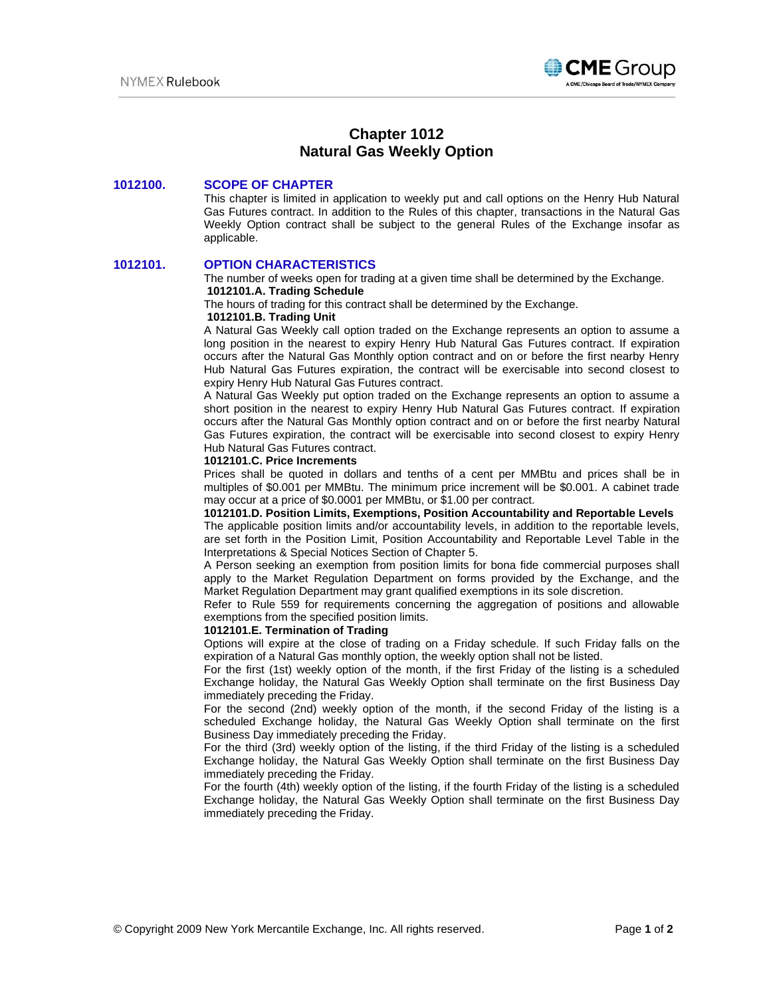

# **Chapter 1012 Natural Gas Weekly Option**

## **1012100. SCOPE OF CHAPTER**

This chapter is limited in application to weekly put and call options on the Henry Hub Natural Gas Futures contract. In addition to the Rules of this chapter, transactions in the Natural Gas Weekly Option contract shall be subject to the general Rules of the Exchange insofar as applicable.

### **1012101. OPTION CHARACTERISTICS**

The number of weeks open for trading at a given time shall be determined by the Exchange. **1012101.A. Trading Schedule** 

The hours of trading for this contract shall be determined by the Exchange.

### **1012101.B. Trading Unit**

A Natural Gas Weekly call option traded on the Exchange represents an option to assume a long position in the nearest to expiry Henry Hub Natural Gas Futures contract. If expiration occurs after the Natural Gas Monthly option contract and on or before the first nearby Henry Hub Natural Gas Futures expiration, the contract will be exercisable into second closest to expiry Henry Hub Natural Gas Futures contract.

A Natural Gas Weekly put option traded on the Exchange represents an option to assume a short position in the nearest to expiry Henry Hub Natural Gas Futures contract. If expiration occurs after the Natural Gas Monthly option contract and on or before the first nearby Natural Gas Futures expiration, the contract will be exercisable into second closest to expiry Henry Hub Natural Gas Futures contract.

### **1012101.C. Price Increments**

Prices shall be quoted in dollars and tenths of a cent per MMBtu and prices shall be in multiples of \$0.001 per MMBtu. The minimum price increment will be \$0.001. A cabinet trade may occur at a price of \$0.0001 per MMBtu, or \$1.00 per contract.

# **1012101.D. Position Limits, Exemptions, Position Accountability and Reportable Levels**

The applicable position limits and/or accountability levels, in addition to the reportable levels, are set forth in the Position Limit, Position Accountability and Reportable Level Table in the Interpretations & Special Notices Section of Chapter 5.

A Person seeking an exemption from position limits for bona fide commercial purposes shall apply to the Market Regulation Department on forms provided by the Exchange, and the Market Regulation Department may grant qualified exemptions in its sole discretion.

Refer to Rule 559 for requirements concerning the aggregation of positions and allowable exemptions from the specified position limits.

### **1012101.E. Termination of Trading**

Options will expire at the close of trading on a Friday schedule. If such Friday falls on the expiration of a Natural Gas monthly option, the weekly option shall not be listed.

For the first (1st) weekly option of the month, if the first Friday of the listing is a scheduled Exchange holiday, the Natural Gas Weekly Option shall terminate on the first Business Day immediately preceding the Friday.

For the second (2nd) weekly option of the month, if the second Friday of the listing is a scheduled Exchange holiday, the Natural Gas Weekly Option shall terminate on the first Business Day immediately preceding the Friday.

For the third (3rd) weekly option of the listing, if the third Friday of the listing is a scheduled Exchange holiday, the Natural Gas Weekly Option shall terminate on the first Business Day immediately preceding the Friday.

For the fourth (4th) weekly option of the listing, if the fourth Friday of the listing is a scheduled Exchange holiday, the Natural Gas Weekly Option shall terminate on the first Business Day immediately preceding the Friday.